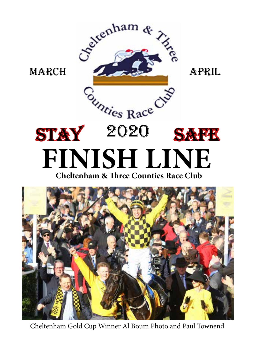

Cheltenham Gold Cup Winner Al Boum Photo and Paul Townend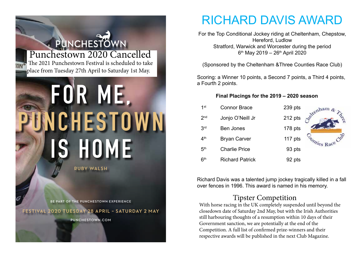# PUNCHESTOWN Punchestown 2020 Cancelled The 2021 Punchestown Festival is scheduled to take place from Tuesday 27th April to Saturday 1st May. **FOR ME , NCHESTOWN IS HOME RUBY WALSH**

**BE PART OF THE PUNCHESTOWN EXPERIENCE**

**FESTIVAL 2020 TUESDAY 28 APRIL – SATURDAY 2 MAY** 

**PUNCHESTOWN.COM**

## RICHARD DAVIS AWARD

For the Top Conditional Jockey riding at Cheltenham, Chepstow, Hereford, Ludlow Stratford, Warwick and Worcester during the period  $6<sup>th</sup>$  May 2019 – 26<sup>th</sup> April 2020

(Sponsored by the Cheltenham &Three Counties Race Club)

Scoring: a Winner 10 points, a Second 7 points, a Third 4 points, a Fourth 2 points.

### **Final Placings for the 2019 – 2020 season**

| 1 <sup>st</sup> | <b>Connor Brace</b>    | 239 pts | cenham          |
|-----------------|------------------------|---------|-----------------|
| 2 <sub>nd</sub> | Jonjo O'Neill Jr       | 212 pts |                 |
| 3 <sup>rd</sup> | <b>Ben Jones</b>       | 178 pts |                 |
| 4 <sup>th</sup> | <b>Bryan Carver</b>    | 117 pts | unties Race Cur |
| 5 <sup>th</sup> | <b>Charlie Price</b>   | 93 pts  |                 |
| 6 <sup>th</sup> | <b>Richard Patrick</b> | 92 pts  |                 |

Richard Davis was a talented jump jockey tragically killed in a fall over fences in 1996. This award is named in his memory.

### Tipster Competition

With horse racing in the UK completely suspended until beyond the closedown date of Saturday 2nd May, but with the Irish Authorities still harbouring thoughts of a resumption within 10 days of their Government sanction, we are potentially at the end of the Competition. A full list of confirmed prize-winners and their respective awards will be published in the next Club Magazine.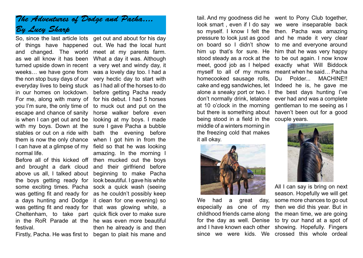### *The Adventures of Dodge and Pacha.... By Lucy Sharp*

of things have happened out. We had the local hunt and changed. The world meet at my parents farm. as we all know it has been turned upside down in recent a very wet and windy day, it weeks… we have gone from was a lovely day too. I had a the non stop busy days of our very hectic day to start with everyday lives to being stuck as I had all of the horses to do in our homes on lockdown. For me, along with many of for his debut. I had 5 horses you I'm sure, the only time of to muck out and put on the escape and chance of sanity horse walker before even is when I can get out and be with my boys. Down at the sure I gave Pacha a bubble stables or out on a ride with them is now the only chance I can have at a glimpse of my field so that he was looking normal life.

Before all of this kicked off then mucked out the boys and brought a dark cloud and their girlfriend before above us all, I talked about the boys getting ready for some exciting times. Pacha was getting fit and ready for a days hunting and Dodge was getting fit and ready for that was glowing white, a Cheltenham, to take part quick flick over to make sure in the RoR Parade at the he was even more beautiful festival.

Firstly, Pacha. He was first to began to plait his mane and

So, since the last article lots get out and about for his day What a day it was. Although before getting Pacha ready looking at my boys. I made bath the evening before when I got him in from the amazing. In the morning I beginning to make Pacha look beautiful. I gave his white sock a quick wash (seeing as he couldn't possibly keep it clean for one evening) so then he already is and then

stood steady as a rock at the meet, good job as I helped myself to all of my mums homecooked sausage rolls, cake and egg sandwiches, let alone a sneaky port or two. I don't normally drink, letalone at 10 o'clock in the morning but there is something about being stood in a field in the middle of a winters morning in the freezing cold that makes it all okay.



We had a great day, especially as one of my childhood friends came along for the day as well. Denise and I have known each other since we were kids. We crossed this whole ordeal

tail. And my goodness did he went to Pony Club together, look smart , even if I do say we were inseparable back so myself. I know I felt the then. Pacha was amazing pressure to look just as good and he made it very clear on board so I didn't show to me and everyone around him up that's for sure. He him that he was very happy to be out again. I now know exactly what Will Biddock meant when he said… Pacha Du Polder... MACHINE!! Indeed he is, he gave me the best days hunting I've ever had and was a complete gentleman to me seeing as I haven't been out for a good couple years.



All I can say is bring on next season. Hopefully we will get some more chances to go out then we did this year. But in the mean time, we are going to try our hand at a spot of showing. Hopefully. Fingers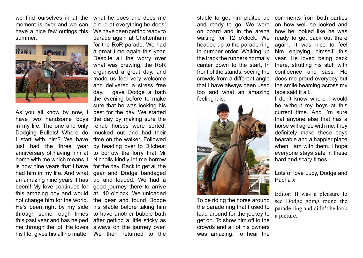we find ourselves in at the moment is over and we can have a nice few outings this summer.



As you all know by now, I have two handsome boys in my life. The one and only Dodging Bullets! Where do I start with him? We have just had the three year anniversary of having him at home with me which means it is now nine years that I have had him in my life. And what an amazing nine years it has been!! My love continues for this amazing boy and would not change him for the world. He's been right by my side through some rough times this past year and has helped me through the lot. He loves his life, gives his all no matter We then returned to the

what he does and does me proud at everything he does! We have been getting ready to parade again at Cheltenham for the RoR parade. We had a great time again this year. Despite all the worry over what was brewing, the RoR organised a great day, and made us feel very welcome and delivered a stress free day. I gave Dodge a bath the evening before to make sure that he was looking his best for the day. We started the day by making sure the rehab horses were sorted, mucked out and had their time on the walker. Followed by heading over to Ditcheat to borrow the lorry that Mr Nicholls kindly let me borrow for the day. Back to get all the gear and Dodge bandaged up and loaded. We had a good journey there to arrive at 10 o'clock. We unloaded the gear and found Dodge his stable before taking him to have another bubble bath after getting a little sticky as always on the journey over.

stable to get him plaited up and ready to go. We were on board and in the arena waiting for 12 o'clock. We headed up to the parade ring in number order. Walking up the track the runners normally canter down to the start, In front of the stands, seeing the crowds from a different angle that I have always been used too and what an amazing feeling it is.



To be riding the horse around the parade ring that I used to lead around for the jockey to get on. To show him off to the crowds and all of his owners was amazing. To hear the

comments from both parties on how well he looked and how he looked like he was ready to get back out there again. It was nice to feel him enjoying himself this year. He loved being back there, strutting his stuff with confidence and sass. He does me proud everyday but the smile beaming across my face said it all.

I don't know where I would be without my boys at this current time. And I'm sure that anyone else that has a horse will agree with me, they definitely make these days bearable and a happier place when I am with them. I hope everyone stays safe in these hard and scary times.

Lots of love Lucy, Dodge and Pacha x

Editor: It was a pleasure to see Dodge going round the parade ring and didn't he look a picture.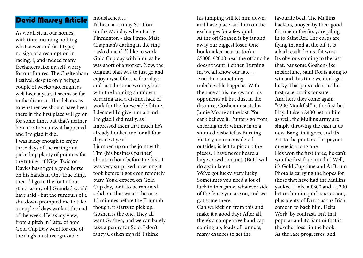### David Massey Article

As we all sit in our homes, with time meaning nothing whatsoever and (as I type) no sign of a resumption in racing, I, and indeed many freelancers like myself, worry for our futures. The Cheltenham Festival, despite only being a couple of weeks ago, might as well been a year, it seems so far in the distance. The debates as to whether we should have been there in the first place will go on for some time, but that's neither here nor there now it happened, and I'm glad it did.

I was lucky enough to enjoy three days of the racing and picked up plenty of pointers for the future - if Nigel Twiston-Davies hasn't got a good horse on his hands in One True King, then I'll go to the foot of our stairs, as my old Grandad would have said - but the rumours of a shutdown prompted me to take a couple of days work at the end of the week. Here's my view, from a pitch in Tatts, of how Gold Cup Day went for one of the ring's most recognizable

moustaches….

I'd been at a rainy Stratford on the Monday when Barry Pinnington - aka Pinno, Matt Chapman's darling in the ring - asked me if I'd like to work Gold Cup day with him, as he was short of a worker. Now, the original plan was to just go and enjoy myself for the four days and just do some writing, but with the looming shutdown of racing and a distinct lack of work for the foreseeable future, I decided I'd give him a hand. I'm glad I did really, as I impressed them that much he's already booked me for all four days next year!

I jumped up on the joint with Tim (his business partner) about an hour before the first. I was very surprised how long it took before it got even remotely busy. You'd expect, on Gold Cup day, for it to be rammed solid but that wasn't the case. 15 minutes before the Triumph though, it starts to pick up. Goshen is the one. They all want Goshen, and we can barely take a penny for Solo. I don't fancy Goshen myself, I think

his jumping will let him down, and have place laid him on the exchanges for a few quid. At the off Goshen is by far and away our biggest loser. One bookmaker near us took a £5000-£2000 near the off and he doesn't want it either. Turning in, we all know our fate… And then something unbelievable happens. With the race at his mercy, and his opponents all but dust in the distance, Goshen unseats his Jamie Moore at the last. You can't believe it. Punters go from cheering their winner in to a stunned disbelief as Burning Victory, an unconsidered outsider, is left to pick up the pieces. I have never heard a large crowd so quiet. (But I will do again later.) We've got lucky, very lucky. Sometimes you need a lot of luck in this game, whatever side of the fence you are on, and we got some there. Can we kick on from this and make it a good day? After all, there's a competitive handicap coming up, loads of runners,

many chances to get the

favourite beat. The Mullins backers, buoyed by their good fortune in the first, are piling in to Saint Roi. The euros are flying in, and at the off, it is a bad result for us if it wins. It's obvious coming to the last that, bar some Goshen-like misfortune, Saint Roi is going to win and this time we don't get lucky. That puts a dent in the first race profits for sure. And here they come again. "€200 Monkfish" is the first bet I lay. I take a £400 bet on him as well, the Mullins army are simply throwing the cash at us now. Bang, in it goes, and it's 2-1 to the punters. The payout queue is a long one. He's won the first three, he can't win the first four, can he? Well, it's Gold Cup time and Al Boum Photo is carrying the hopes for those that have had the Mullins yankee. I take a £300 and a £200 bet on him in quick succession, plus plenty of Euros as the Irish come in to back him. Delta Work, by contrast, isn't that popular and it's Santini that is the other loser in the book. As the race progresses, and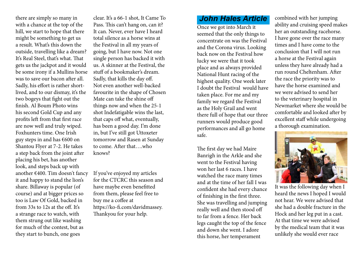there are simply so many in with a chance at the top of the hill, we start to hope that there might be something to get us a result. What's this down the outside, travelling like a dream? It's Real Steel, that's what. That gets us the jackpot and it would be some irony if a Mullins horse was to save our bacon after all. Sadly, his effort is rather shortlived, and to our dismay, it's the two bogeys that fight out the finish. Al Boum Photo wins his second Gold Cup and any profits left from that first race are now well and truly wiped. Foxhunters time. One Irish guy steps in and has €600 on Shantou Flyer at 7-2. He takes a step back from the joint after placing his bet, has another look, and steps back up with another €400. Tim doesn't fancy it and happy to stand the lion's share. Billaway is popular (of course) and at bigger prices so too is Law Of Gold, backed in from 33s to 12s at the off. It's a strange race to watch, with them strung out like washing for much of the contest, but as they start to bunch, one goes

clear. It's a 66-1 shot, It Came To Pass. This can't hang on, can it? It can. Never, ever have I heard total silence as a horse wins at the Festival in all my years of going, but I have now. Not one single person has backed it with us. A skinner at the Festival, the stuff of a bookmaker's dream. Sadly, that kills the day off. Not even another well-backed favourite in the shape of Chosen Mate can take the shine off things now and when the 25-1 shot Indefatigable wins the last, that caps off what, eventually, has been a good day. I'm done in, but I've still got Uttoxeter tomorrow and Rasen at Sunday to come. After that….who knows?

If you've enjoyed my articles for the CTCRC this season and have maybe even benefitted from them, please feel free to buy me a coffee at https://ko-fi.com/davidmassey. Thankyou for your help.

### *John Hales Article*

Once we got into March it seemed that the only things to concentrate on was the Festival and the Corona virus. Looking back now on the Festival how lucky we were that it took place and as always provided National Hunt racing of the highest quality. One week later I doubt the Festival would have taken place. For me and my family we regard the Festival as the Holy Grail and went there full of hope that our three runners would produce good performances and all go home safe.

The first day we had Maire Banrigh in the Arkle and she went to the Festival having won her last 6 races. I have watched the race many times and at the time of her fall I was confident she had every chance of finishing in the first three. She was travelling and jumping really well and then stood off to far from a fence. Her back legs caught the top of the fence and down she went. I adore this horse, her temperament

combined with her jumping ability and cruising speed makes her an outstanding racehorse. I have gone over the race many times and I have come to the conclusion that I will not run a horse at the Festival again unless they have already had a run round Cheltenham. After the race the priority was to have the horse examined and we were advised to send her to the veterinary hospital in Newmarket where she would be comfortable and looked after by excellent staff while undergoing a thorough examination.



It was the following day when I heard the news I hoped I would not hear. We were advised that she had a double fracture in the Hock and her leg put in a cast. At that time we were advised by the medical team that it was unlikely she would ever race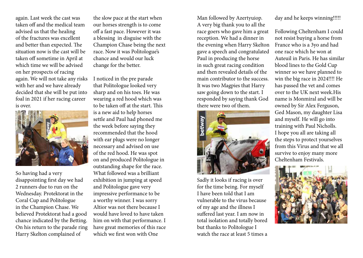again. Last week the cast was taken off and the medical team advised us that the healing of the fractures was excellent and better than expected. The situation now is the cast will be taken off sometime in April at which time we will be advised on her prospects of racing again. We will not take any risks with her and we have already decided that she will be put into foal in 2021 if her racing career is over.



So having had a very disappointing first day we had 2 runners due to run on the Wednesday. Protektorat in the Coral Cup and Politologue in the Champion Chase. We believed Protektorat had a good chance indicated by the Betting. On his return to the parade ring Harry Skelton complained of

the slow pace at the start when our horses strength is to come off a fast pace. However it was a blessing in disguise with the Champion Chase being the next race. Now it was Politologue's chance and would our luck change for the better.

I noticed in the pre parade that Politologue looked very sharp and on his toes. He was wearing a red hood which was to be taken off at the start. This is a new aid to help horses settle and Paul had phoned me the week before saying they recommended that the hood with ear plugs were no longer necessary and advised on use of the red hood. He was spot on and produced Politologue in outstanding shape for the race. What followed was a brilliant exhibition in jumping at speed and Politologue gave very impressive performance to be a worthy winner. I was sorry Altior was not there because I would have loved to have taken him on with that performance. I have great memories of this race which we first won with One

Man followed by Azertyuiop. A very big thank you to all the race goers who gave him a great reception. We had a dinner in the evening when Harry Skelton gave a speech and congratulated Paul in producing the horse in such great racing condition and then revealed details of the main contributor to the success. It was two Magpies that Harry saw going down to the start. I responded by saying thank God there were two of them.



Sadly it looks if racing is over for the time being. For myself I have been told that I am vulnerable to the virus because of my age and the illness I suffered last year. I am now in total isolation and totally bored but thanks to Politologue I watch the race at least 5 times a day and he keeps winning!!!!!

Following Cheltenham I could not resist buying a horse from France who is a 3yo and had one race which he won at Auteuil in Paris. He has similar blood lines to the Gold Cup winner so we have planned to win the big race in 2024!!!! He has passed the vet and comes over to the UK next week.His name is Monmiral and will be owned by Sir Alex Ferguson, Ged Mason, my daughter Lisa and myself. He will go into training with Paul Nicholls. I hope you all are taking all the steps to protect yourselves from this Virus and that we all survive to enjoy many more Cheltenham Festivals.

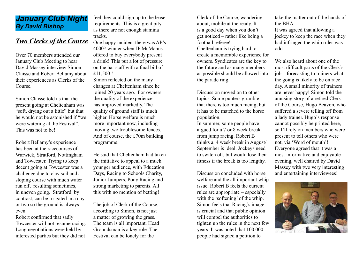### *January Club Night By David Bishop*

### *Two Clerks of the Course*

Over 70 members attended our January Club Meeting to hear David Massey interview Simon Claisse and Robert Bellamy about their experiences as Clerks of the Course.

Simon Claisse told us that the present going at Cheltenham was "soft, drying out a little" but that he would not be astonished if "we were watering at the Festival". This was not to be!

Robert Bellamy's experience has been at the racecourses of Warwick, Stratford, Nottingham and Towcester. Trying to keep decent going at Towcester was a challenge due to clay soil and a sloping course with much water run off, resulting sometimes, in uneven going. Stratford, by contrast, can be irrigated in a day or two so the ground is always even.

Robert confirmed that sadly Towcester will not resume racing. Long negotiations were held by interested parties but they did not

feel they could sign up to the lease requirements. This is a great pity as there are not enough stamina tracks.

One happy incident there was AP's 4000th winner when JP McManus offered to buy everybody present a drink! This put a lot of pressure on the bar staff with a final bill of £11,500 !

Simon reflected on the many changes at Cheltenham since he joined 20 years ago. For owners the quality of the experience has improved markedly. The quality of ground staff is much higher. Horse welfare is much more important now, including moving two troublesome fences. And of course, the £70m building programme.

He said that Cheltenham had taken the initiative to appeal to a much younger audience, with Education Days, Racing to Schools Charity, Junior Jumpers, Pony Racing and strong marketing to parents. All this with no mention of betting!

The job of Clerk of the Course, according to Simon, is not just a matter of growing the grass. The team is all important. Head Groundsman is a key role. The Festival can be lonely for the

Clerk of the Course, wandering about, mobile at the ready. It is a good day when you don't get noticed – rather like being a football referee!

Cheltenham is trying hard to create a memorable experience for owners. Syndicates are the key to the future and as many members as possible should be allowed into the parade ring.

Discussion moved on to other topics. Some punters grumble that there is too much racing, but it has to be matched to the horse population.

In summer, some people have argued for a 7 or 8 week break from jump racing. Robert B thinks a 4 week break in August/ September is ideal. Jockeys need to switch off, but would lose their fitness if the break is too lengthy.

Discussion concluded with horse welfare and the all important whip issue. Robert B feels the current rules are appropriate – especially with the 'softening' of the whip. Simon feels that Racing's image is crucial and that public opinion will compel the authorities to tighten up the rules in the next few years. It was noted that 100,000 people had signed a petition to

take the matter out of the hands of the BHA.

It was agreed that allowing a jockey to keep the race when they had infringed the whip rules was odd.

We also heard about one of the most difficult parts of the Clerk's job – forecasting to trainers what the going is likely to be on race day. A small minority of trainers are never happy! Simon told the amusing story of a retired Clerk of the Course, Hugo Beavon, who suffered a severe telling off from a lady trainer. Hugo's response cannot possibly be printed here, so I'll rely on members who were present to tell others who were not, via 'Word of mouth'! Everyone agreed that it was a most informative and enjoyable evening, well chaired by David Massey with two very interesting and entertaining interviewees!

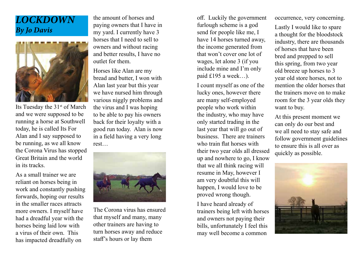### *LOCKDOWN By Jo Davis*



Its Tuesday the  $31<sup>st</sup>$  of March and we were supposed to be running a horse at Southwell today, he is called Its For Alan and I say supposed to be running, as we all know the Corona Virus has stopped Great Britain and the world in its tracks.

As a small trainer we are reliant on horses being in work and constantly pushing forwards, hoping our results in the smaller races attracts more owners. I myself have had a dreadful year with the horses being laid low with a virus of their own. This has impacted dreadfully on

the amount of horses and paying owners that I have in my yard. I currently have 3 horses that I need to sell to owners and without racing and better results, I have no outlet for them.

Horses like Alan are my bread and butter, I won with Alan last year but this year we have nursed him through various niggly problems and the virus and I was hoping to be able to pay his owners back for their loyalty with a good run today. Alan is now in a field having a very long rest…



The Corona virus has ensured that myself and many, many other trainers are having to turn horses away and reduce staff's hours or lay them

off. Luckily the government furlough scheme is a god send for people like me, I have 14 horses turned away, the income generated from that won't cover one lot of wages, let alone 3 (if you include mine and I'm only paid £195 a week…).

I count myself as one of the lucky ones, however there are many self-employed people who work within the industry, who may have only started trading in the last year that will go out of business. There are trainers who train flat horses with their two year olds all dressed up and nowhere to go, I know that we all think racing will resume in May, however I am very doubtful this will happen, I would love to be proved wrong though.

I have heard already of trainers being left with horses and owners not paying their bills, unfortunately I feel this may well become a common

occurrence, very concerning.

Lastly I would like to spare a thought for the bloodstock industry, there are thousands of horses that have been bred and prepped to sell this spring, from two year old breeze up horses to 3 year old store horses, not to mention the older horses that the trainers move on to make room for the 3 year olds they want to buy.

At this present moment we can only do our best and we all need to stay safe and follow government guidelines to ensure this is all over as quickly as possible.

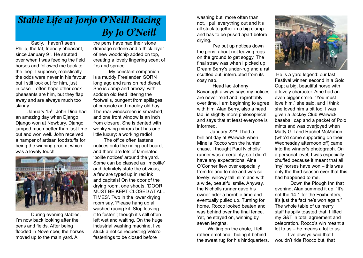### *Stable Life at Jonjo O'Neill Racing By Jo O'Neill*

Sadly, I haven't seen Philip, the fat, friendly pheasant, since January 9<sup>th</sup>. He strutted over when I was feeding the field horses and followed me back to the jeep. I suppose, realistically, the odds were never in his favour, but I still look out for him, just in case. I often hope other cock pheasants are him, but they flap away and are always much too skinny.

January 15<sup>th</sup>: John Dina had an amazing day when Django Django won at Newbury. Django jumped much better than last time out and won well. John received a hamper of artisan foodstuffs for being the winning groom, which was a lovely touch.



During evening stables, I'm now back looking after the pens and fields. After being flooded in November, the horses moved up to the main yard. All

the pens have had their stone drainage redone and a thick layer of new woodchip added on top, creating a lovely lingering scent of firs and spruce.

My constant companion is a muddy Freelander, SORN long ago and runs on red diesel. She is damp and breezy, with sodden old feed littering the footwells, pungent from spillages of creosote and mouldy old hay. The rear windscreen is smashed, and one front window is an inch from closure. She is dented with wonky wing mirrors but has one little luxury: a working radio!

 The office often fastens notices onto the riding-out board, and there are lots of laminated 'polite notices' around the yard. Some can be classed as 'impolite' and definitely state the obvious; a few are typed up in red ink and capitals! On the door of the drying room, one shouts, 'DOOR MUST BE KEPT CLOSED AT ALL TIMES'. Two in the lower drying room say, 'Please hang up all washed racing kit. Stop leaving it to fester!'; though it's still often left wet and waiting. On the huge industrial washing machine, I've stuck a notice requesting Velcro fastenings to be closed before

washing but, more often than not, I pull everything out and it's all stuck together in a big clump and has to be prised apart before drying.

I've put up notices down the pens, about not leaving rugs on the ground to get soggy. The final straw was when I picked up Dream Berry's under-rug and a rat scuttled out, interrupted from its cosy nap.

Head lad Johnny Kavanagh always says my notices are never read and, regrettably over time, I am beginning to agree with him. Alan Berry, also a head lad, is slightly more philosophical and says that at least everyone is informed.

January 22<sup>nd</sup>: I had a brilliant day at Warwick when Minella Rocco won the hunter chase. I thought Paul Nicholls' runner was a certainty, so I didn't have any expectations. Aine O'Conner flew over especially from Ireland to ride and was so lovely: willowy tall, slim and with a wide, beautiful smile. Anyway, the Nicholls runner gave his owner-rider a horrible time and eventually pulled up. Turning for home, Rocco looked beaten and was behind over the final fence. Yet, he stayed on, winning by seven lengths.

 Waiting on the chute, I felt rather emotional, hiding it behind the sweat rug for his hindquarters.



 He is a yard legend: our last Festival winner, second in a Gold Cup; a big, beautiful horse with a lovely character. Aine had an even bigger smile. "You must love him," she said, and I think she loved him a bit too. I was given a Jockey Club Warwick baseball cap and a packet of Polo mints and was overjoyed when Matty Gill and Rachel McMahon (who'd come supporting on their Wednesday afternoon off) came into the winner's photograph. On a personal level, I was especially chuffed because it meant that all 'my' horses have won – this was only the third season ever that this had happened to me.

Down the Plough Inn that evening, Alan summed it up: "It's not the 14-1 for the Foxhunters, it's just the fact he's won again." The whole table of us merry staff happily toasted that. I lifted my G&T in total agreement and celebration. Rocco's win meant a lot to us – he means a lot to us.

 I've always said that I wouldn't ride Rocco but, that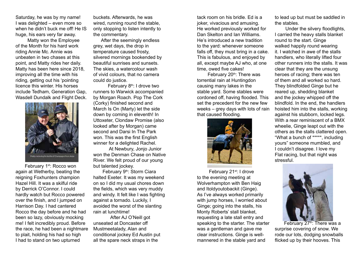Saturday, he was by my name! I was delighted – even more so when he didn't buck me off! He IS huge, his ears very far away.

 Matty won the Employee of the Month for his hard work riding Annie Mc. Annie was unbeaten in two chases at this point, and Matty rides her daily. Matty has been here since 2018, improving all the time with his riding, getting out his 'pointing licence this winter. His horses include Tedham, Generation Gap, Wasdell Dundalk and Flight Deck.



February 1<sup>st</sup>: Rocco won again at Wetherby, beating the reigning Foxhunters champion Hazel Hill. It was a skilful ride by Derrick O'Connor. I could hardly watch but Rocco powered over the finish, and I jumped on Harrison Day. I had cantered Rocco the day before and he had been so lazy, obviously mocking me! I felt incredibly proud. Before the race, he had been a nightmare to plait, holding his had so high I had to stand on two upturned

buckets. Afterwards, he was wired, running round the stable, only stopping to listen intently to the commentary.

 After the seemingly endless grey, wet days, the drop in temperature caused frosty, silvered mornings bookended by beautiful sunrises and sunsets. The skies, a watercolour wash of vivid colours, that no camera could do justice.

February  $8<sup>th</sup>$ : I drove two runners to Warwick accompanied by Morgan Roach. Pop The Cork (Corky) finished second and March Is On (Marty) let the side down by coming in eleventh! In Uttoxeter, Clondaw Promise (also looked after by Morgan) came second and Darsi In The Park won. This was the first English winner for a delighted Rachel.

At Newbury, Jonjo Junior won the Denman Chase on Native River. We felt proud of our young but talented jockey.

February 9<sup>th</sup>: Storm Ciara halted Exeter. It was my weekend on so I did my usual chores down the fields, which was very muddy and windy. It felt like I was fighting against a tornado. Luckily, I avoided the worst of the slanting rain at lunchtime!

 After AJ O'Neill got unseated at Doncaster off Mustmeetalady, Alan and conditional jockey Ed Austin put all the spare neck straps in the

tack room on his bridle. Ed is a joker, vivacious and amusing. He worked previously worked for Dan Skelton and Ian Williams. He's introduced a new tradition to the yard: whenever someone falls off, they must bring in a cake. This is fabulous, and enjoyed by all, except maybe AJ who, at one time, owed five cakes!

February  $20<sup>th</sup>$ : There was torrential rain at Huntingdon causing many lakes in the stable yard. Some stables were cordoned off, having flooded. This set the precedent for the new few weeks – grey days with lots of rain that caused flooding.



February 21<sup>st</sup>: I drove to the evening meeting at Wolverhampton with Ben Haig and Itoldyoutobackit (Ginge). As I've always worked primarily with jump horses, I worried about Ginge; going into the stalls, his Monty Roberts' stall blanket, requesting a late stall entry and speaking to the starter. The starter was a gentleman and gave me clear instructions. Ginge is wellmannered in the stable yard and

to lead up but must be saddled in the stables.

 Under the silvery floodlights, I carried the heavy stalls blanket round to the start. Ginge walked happily round wearing it. I watched in awe of the stalls handlers, who literally lifted four other runners into the stalls. It was clear that they are the unsung heroes of racing; there was ten of them and all worked so hard. They blindfolded Ginge but he reared up, shedding blanket and the jockey whipped off the blindfold. In the end, the handlers hoisted him into the stalls, working against his stubborn, locked legs. With a rear reminiscent of a BMX wheelie, Ginge leapt out with the others as the stalls clattered open. "What a bunch of \*\*\*\*\*, including yours" someone mumbled, and I couldn't disagree. I love my Flat racing, but that night was stressful.



February 27<sup>th</sup>: There was a surprise covering of snow. We rode our lots, dodging snowballs flicked up by their hooves. This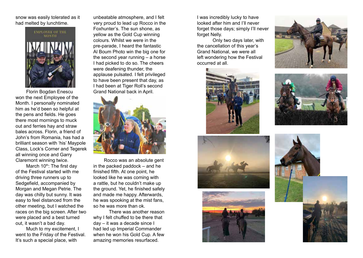snow was easily tolerated as it had melted by lunchtime.



 Florin Bogdan Enescu won the next Employee of the Month. I personally nominated him as he'd been so helpful at the pens and fields. He goes there most mornings to muck out and ferries hay and straw bales across. Florin, a friend of John's from Romania, has had a brilliant season with 'his' Maypole Class, Lock's Corner and Tegerek all winning once and Garry Claremont winning twice.

March  $10^{th}$ : The first day of the Festival started with me driving three runners up to Sedgefield, accompanied by Morgan and Megan Petrie. The day was chilly but sunny. It was easy to feel distanced from the other meeting, but I watched the races on the big screen. After two were placed and a best turned out, it wasn't a bad day.

 Much to my excitement, I went to the Friday of the Festival. It's such a special place, with

unbeatable atmosphere, and I felt very proud to lead up Rocco in the Foxhunter's. The sun shone, as yellow as the Gold Cup winning colours. Whilst we were in the pre-parade, I heard the fantastic Al Boum Photo win the big one for the second year running – a horse I had picked to do so. The cheers were deafening thunder, the applause pulsated. I felt privileged to have been present that day, as I had been at Tiger Roll's second Grand National back in April.



 Rocco was an absolute gent in the packed paddock – and he finished fifth. At one point, he looked like he was coming with a rattle, but he couldn't make up the ground. Yet, he finished safely and made me happy. Afterwards, he was spooking at the mist fans, so he was more than ok.

There was another reason why I felt chuffed to be there that day – it was a decade since I had led up Imperial Commander when he won his Gold Cup. A few amazing memories resurfaced.

I was incredibly lucky to have looked after him and I'll never forget those days; simply I'll never forget Nelly.

Only two days later, with the cancellation of this year's Grand National, we were all left wondering how the Festival occurred at all.











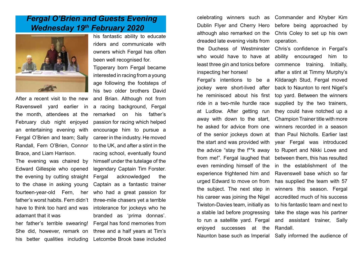### *Fergal O'Brien and Guests Evening Wednesday 19th February 2020*



After a recent visit to the new Ravenswell yard earlier in the month, attendees at the February club night enjoyed an entertaining evening with Fergal O'Brien and team; Sally Randall, Fern O'Brien, Connor Brace, and Liam Harrison.

The evening was chaired by Edward Gillespie who opened the evening by cutting straight to the chase in asking young fourteen-year-old Fern, her father's worst habits. Fern didn't have to think too hard and was adamant that it was

his better qualities including

his fantastic ability to educate riders and communicate with owners which Fergal has often been well recognised for.

her father's terrible swearing! Fergal has fond memories from She did, however, remark on three and a half years at Tim's Tipperary born Fergal became interested in racing from a young age following the footsteps of his two older brothers David and Brian. Although not from a racing background, Fergal remarked on his father's passion for racing which helped encourage him to pursue a career in the industry. He moved to the UK, and after a stint in the racing school, eventually found himself under the tutelage of the legendary Captain Tim Forster. Fergal acknowledged the Captain as a fantastic trainer who had a great passion for three-mile chasers yet a terrible intolerance for jockeys who he branded as 'prima donnas'. Letcombe Brook base included

celebrating winners such as Commander and Khyber Kim Dublin Flyer and Cherry Hero although also remarked on the dreaded late evening visits from the Duchess of Westminster who would have to have at least three gin and tonics before inspecting her horses!

Fergal's intentions to be a jockey were short-lived after he reminisced about his first ride in a two-mile hurdle race at Ludlow. After getting run away with down to the start, he asked for advice from one of the senior jockeys down at the start and was provided with the advice "stay the f\*\*k away from me!". Fergal laughed that even reminding himself of the experience frightened him and urged Edward to move on from the subject. The next step in his career was joining the Nigel Twiston-Davies team, initially as a stable lad before progressing to run a satellite yard. Fergal enjoyed successes at the

before being approached by Chris Coley to set up his own operation.

Chris's confidence in Fergal's ability encouraged him to commence training. Initially, after a stint at Timmy Murphy's Kildaragh Stud, Fergal moved back to Naunton to rent Nigel's top yard. Between the winners supplied by the two trainers, they could have notched up a Champion Trainer title with more winners recorded in a season than Paul Nicholls. Earlier last year Fergal was introduced to Rupert and Nikki Lowe and between them, this has resulted in the establishment of the Ravenswell base which so far has supplied the team with 57 winners this season. Fergal accredited much of his success to his fantastic team and next to take the stage was his partner and assistant trainer, Sally Randall.

Naunton base such as Imperial

Sally informed the audience of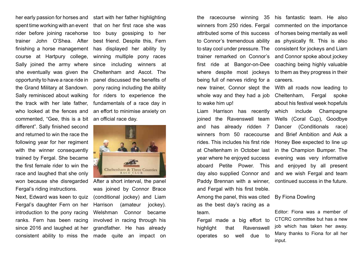her early passion for horses and start with her father highlighting spent time working with an event that on her first race she was rider before joining racehorse too busy gossiping to her trainer John O'Shea. After finishing a horse management course at Hartpury college, Sally joined the army where she eventually was given the opportunity to have a race ride in the Grand Military at Sandown. Sally reminisced about walking the track with her late father, who looked at the fences and commented, "Gee, this is a bit different". Sally finished second and returned to win the race the following year for her regiment with the winner consequently trained by Fergal. She became the first female rider to win the race and laughed that she only won because she disregarded Fergal's riding instructions.

Next, Edward was keen to quiz Fergal's daughter Fern on her introduction to the pony racing ranks. Fern has been racing since 2016 and laughed at her

best friend. Despite this, Fern has displayed her ability by winning multiple pony races since including winners at Cheltenham and Ascot. The panel discussed the benefits of pony racing including the ability for riders to experience the fundamentals of a race day in an effort to minimise anxiety on an official race day.



consistent ability to miss the made quite an impact on After a short interval, the panel was joined by Connor Brace (conditional jockey) and Liam Harrison (amateur jockey). Welshman Connor became involved in racing through his grandfather. He has already

the racecourse winning 35 winners from 250 rides. Fergal attributed some of this success to Connor's tremendous ability to stay cool under pressure. The trainer remarked on Connor's first ride at Bangor-on-Dee where despite most jockeys being full of nerves riding for a new trainer, Connor slept the whole way and they had a job to wake him up!

Liam Harrison has recently joined the Ravenswell team and has already ridden 7 winners from 50 racecourse rides. This includes his first ride at Cheltenham in October last year where he enjoyed success aboard Petite Power. This day also supplied Connor and Paddy Brennan with a winner, and Fergal with his first treble. Among the panel, this was cited as the best day's racing as a team.

Fergal made a big effort to highlight that Ravenswell operates so well due to

his fantastic team. He also commented on the importance of horses being mentally as well as physically fit. This is also consistent for jockeys and Liam and Connor spoke about jockey coaching being highly valuable to them as they progress in their careers.

With all roads now leading to Cheltenham, Fergal spoke about his festival week hopefuls which include Champagne Wells (Coral Cup), Goodbye Dancer (Conditionals race) and Brief Ambition and Ask a Honey Bee expected to line up in the Champion Bumper. The evening was very informative and enjoyed by all present and we wish Fergal and team continued success in the future.

#### By Fiona Dowling

Editor: Fiona was a member of CTCRC committee but has a new job which has taken her away. Many thanks to Fiona for all her input.